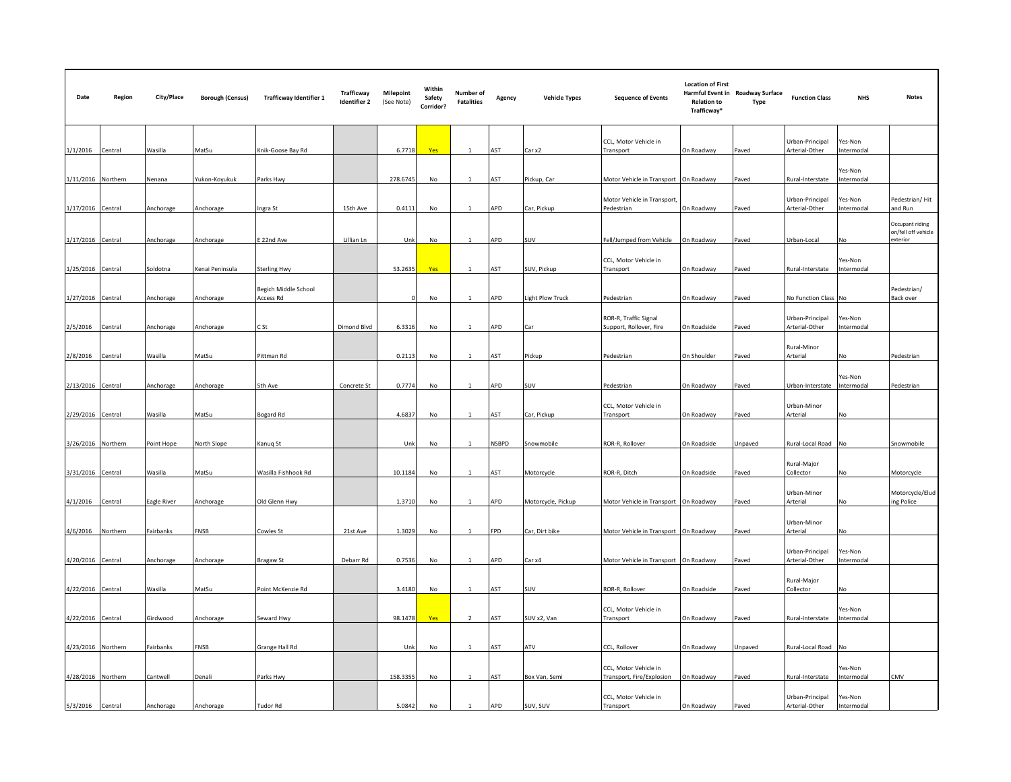| Date               | Region   | City/Place  | <b>Borough (Census)</b> | <b>Trafficway Identifier 1</b>    | Trafficway<br><b>Identifier 2</b> | <b>Milepoint</b><br>(See Note) | Within<br>Safety<br>Corridor? | Number of<br><b>Fatalities</b> | Agency       | <b>Vehicle Types</b> | <b>Sequence of Events</b>                          | <b>Location of First</b><br><b>Relation to</b><br>Trafficway* | Harmful Event in Roadway Surface<br>Type | <b>Function Class</b>             | <b>NHS</b>            | <b>Notes</b>                                       |
|--------------------|----------|-------------|-------------------------|-----------------------------------|-----------------------------------|--------------------------------|-------------------------------|--------------------------------|--------------|----------------------|----------------------------------------------------|---------------------------------------------------------------|------------------------------------------|-----------------------------------|-----------------------|----------------------------------------------------|
| 1/1/2016 Central   |          | Wasilla     | MatSu                   | Knik-Goose Bay Rd                 |                                   | 6.7718                         | Yes                           | $\mathbf{1}$                   | AST          | Car x2               | CCL, Motor Vehicle in<br>Transport                 | On Roadway                                                    | Paved                                    | Urban-Principal<br>Arterial-Other | Yes-Non<br>Intermodal |                                                    |
| 1/11/2016 Northern |          | Nenana      | ukon-Koyukuk            | Parks Hwy                         |                                   | 278.6745                       | No                            | $\mathbf{1}$                   | ۹ST          | Pickup, Car          | Motor Vehicle in Transport On Roadway              |                                                               | Paved                                    | Rural-Interstate                  | Yes-Non<br>Intermodal |                                                    |
| 1/17/2016 Central  |          | Anchorage   | Anchorage               | Ingra St                          | 15th Ave                          | 0.4111                         | No                            | -1                             | APD          | Car, Pickup          | Motor Vehicle in Transport,<br>Pedestrian          | On Roadway                                                    | Paved                                    | Urban-Principal<br>Arterial-Other | Yes-Non<br>Intermodal | Pedestrian/Hit<br>and Run                          |
| 1/17/2016 Central  |          | Anchorage   | Anchorage               | E 22nd Ave                        | Lillian Ln                        | Unk                            | No                            | 1                              | APD          | SUV                  | Fell/Jumped from Vehicle                           | On Roadway                                                    | Paved                                    | Urban-Local                       | <b>No</b>             | Occupant riding<br>on/fell off vehicle<br>exterior |
| 1/25/2016 Central  |          | Soldotna    | Cenai Peninsula         | <b>Sterling Hwy</b>               |                                   | 53.2635                        | Yes                           |                                | AST          | SUV, Pickup          | CCL, Motor Vehicle in<br><b>Transport</b>          | On Roadway                                                    | Paved                                    | Rural-Interstate                  | Yes-Non<br>Intermodal |                                                    |
| 1/27/2016 Central  |          | Anchorage   | Anchorage               | Begich Middle School<br>Access Rd |                                   |                                | No                            | -1                             | APD          | Light Plow Truck     | Pedestrian                                         | On Roadway                                                    | Paved                                    | No Function Class No              |                       | Pedestrian/<br>Back over                           |
| 2/5/2016           | Central  | Anchorage   | Anchorage               | C St                              | Dimond Blvd                       | 6.3316                         | No                            | 1                              | APD          | Car                  | ROR-R, Traffic Signal<br>Support, Rollover, Fire   | On Roadside                                                   | Paved                                    | Urban-Principal<br>Arterial-Other | Yes-Non<br>Intermodal |                                                    |
| 2/8/2016           | Central  | Wasilla     | MatSu                   | Pittman Rd                        |                                   | 0.2113                         | No                            | $\mathbf{1}$                   | AST          | Pickup               | Pedestrian                                         | On Shoulder                                                   | Paved                                    | Rural-Minor<br>Arterial           | No                    | Pedestrian                                         |
| 2/13/2016 Central  |          | Anchorage   | Anchorage               | 5th Ave                           | Concrete St                       | 0.7774                         | No                            |                                | APD          | SUV                  | Pedestrian                                         | On Roadway                                                    | Paved                                    | Urban-Interstate Intermodal       | Yes-Non               | Pedestrian                                         |
| 2/29/2016 Central  |          | Wasilla     | MatSu                   | Bogard Rd                         |                                   | 4.6837                         | No                            |                                | ١ST          | Car, Pickup          | CCL, Motor Vehicle in<br><b>Transport</b>          | On Roadway                                                    | aved                                     | Urban-Minor<br>Arterial           | No                    |                                                    |
| 3/26/2016 Northern |          | Point Hope  | <b>North Slope</b>      | Kanug St                          |                                   | Unk                            | No                            | $\mathbf{1}$                   | <b>NSBPD</b> | Snowmobile           | ROR-R, Rollover                                    | On Roadside                                                   | Unpaved                                  | Rural-Local Road No               |                       | Snowmobile                                         |
| 3/31/2016 Central  |          | Wasilla     | MatSu                   | Wasilla Fishhook Rd               |                                   | 10.1184                        | No                            | 1                              | AST          | Motorcycle           | ROR-R, Ditch                                       | On Roadside                                                   | Paved                                    | Rural-Major<br>Collector          | No                    | Motorcycle                                         |
| 4/1/2016           | Central  | Eagle River | Anchorage               | Old Glenn Hwy                     |                                   | 1.3710                         | No                            | $\mathbf{1}$                   | APD          | Motorcycle, Pickup   | Motor Vehicle in Transport                         | On Roadway                                                    | Paved                                    | Urban-Minor<br>Arterial           | No                    | Motorcycle/Elud<br>ing Police                      |
| 4/6/2016           | Northern | Fairbanks   | <b>NSB</b>              | Cowles St                         | 21st Ave                          | 1.3029                         | No                            |                                | FPD          | Car, Dirt bike       | Motor Vehicle in Transport On Roadway              |                                                               | Paved                                    | Urban-Minor<br>Arterial           | No                    |                                                    |
| 4/20/2016 Central  |          | Anchorage   | Anchorage               | <b>Bragaw St</b>                  | Debarr Rd                         | 0.7536                         | No                            | 1                              | APD          | Car x4               | Motor Vehicle in Transport On Roadway              |                                                               | Paved                                    | Urban-Principal<br>Arterial-Other | Yes-Non<br>Intermodal |                                                    |
| 4/22/2016 Central  |          | Wasilla     | MatSu                   | Point McKenzie Rd                 |                                   | 3.4180                         | No                            | 1                              | AST          | SUV                  | ROR-R, Rollover                                    | On Roadside                                                   | Paved                                    | Rural-Major<br>Collector          | No                    |                                                    |
| 4/22/2016 Central  |          | Girdwood    | Anchorage               | Seward Hwy                        |                                   | 98.1478                        | Yes                           | $\overline{2}$                 | AST          | SUV x2, Van          | CCL, Motor Vehicle in<br>Transport                 | On Roadway                                                    | Paved                                    | Rural-Interstate                  | Yes-Non<br>Intermodal |                                                    |
| 4/23/2016 Northern |          | Fairbanks   | FNSB                    | Grange Hall Rd                    |                                   | Unk                            | No                            | -1                             | AST          | ATV                  | CCL, Rollover                                      | On Roadway                                                    | Jnpaved                                  | Rural-Local Road                  | <b>No</b>             |                                                    |
| 4/28/2016 Northern |          | Cantwell    | enali                   | Parks Hwy                         |                                   | 158.3355                       | No                            | 1                              | AST          | Box Van, Semi        | CCL, Motor Vehicle in<br>Transport, Fire/Explosion | On Roadway                                                    | Paved                                    | Rural-Interstate                  | Yes-Non<br>Intermodal | CMV                                                |
| 5/3/2016 Central   |          | Anchorage   | Anchorage               | Tudor Rd                          |                                   | 5.0842                         | No                            | 1                              | APD          | SUV, SUV             | CCL, Motor Vehicle in<br>Transport                 | On Roadway                                                    | Paved                                    | Urban-Principal<br>Arterial-Other | Yes-Non<br>Intermodal |                                                    |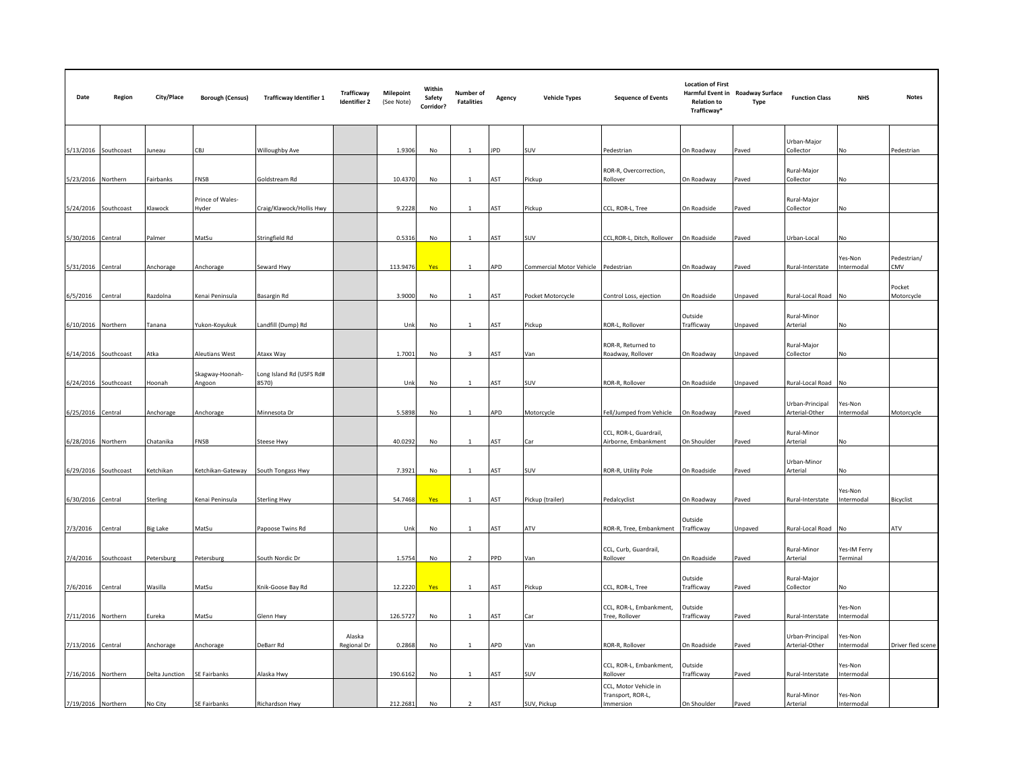| Date               | Region               | City/Place     | <b>Borough (Census)</b>   | <b>Trafficway Identifier 1</b>    | Trafficway<br><b>Identifier 2</b> | <b>Milepoint</b><br>(See Note) | Within<br>Safety<br>Corridor? | Number of<br><b>Fatalities</b> | Agency     | <b>Vehicle Types</b>     | <b>Sequence of Events</b>                               | <b>Location of First</b><br><b>Relation to</b><br>Trafficway* | Harmful Event in Roadway Surface<br>Type | <b>Function Class</b>             | <b>NHS</b>               | <b>Notes</b>         |
|--------------------|----------------------|----------------|---------------------------|-----------------------------------|-----------------------------------|--------------------------------|-------------------------------|--------------------------------|------------|--------------------------|---------------------------------------------------------|---------------------------------------------------------------|------------------------------------------|-----------------------------------|--------------------------|----------------------|
|                    | 5/13/2016 Southcoast | Juneau         | CBJ                       | Willoughby Ave                    |                                   | 1.9306                         | No                            | $\mathbf{1}$                   | <b>JPD</b> | SUV                      | Pedestrian                                              | On Roadway                                                    | Paved                                    | Urban-Major<br>Collector          | No                       | Pedestrian           |
| 5/23/2016 Northern |                      | Fairbanks      | NSB <sup>:</sup>          | Goldstream Rd                     |                                   | 10.4370                        | No                            |                                | AST        | Pickup                   | ROR-R, Overcorrection,<br>Rollover                      | On Roadway                                                    | Paved                                    | Rural-Major<br>Collector          | <b>No</b>                |                      |
|                    | 5/24/2016 Southcoast | Klawock        | Prince of Wales-<br>Hvder | Craig/Klawock/Hollis Hwy          |                                   | 9.2228                         | No                            | $\mathbf{1}$                   | AST        | Pickup                   | CCL, ROR-L, Tree                                        | On Roadside                                                   | Paved                                    | Rural-Major<br>Collector          | NΩ                       |                      |
| 5/30/2016 Central  |                      | Palmer         | MatSu                     | Stringfield Rd                    |                                   | 0.5316                         | No                            | $\mathbf{1}$                   | AST        | SUV                      | CCL, ROR-L, Ditch, Rollover                             | On Roadside                                                   | Paved                                    | Urban-Local                       | No                       |                      |
| 5/31/2016 Central  |                      | Anchorage      | Anchorage                 | Seward Hwy                        |                                   | 113.9476                       | Yes                           |                                | APD        | Commercial Motor Vehicle | Pedestrian                                              | On Roadway                                                    | Paved                                    | Rural-Interstate                  | Yes-Non<br>Intermodal    | Pedestrian/<br>CMV   |
| 6/5/2016           | Central              | Razdolna       | Kenai Peninsula           | Basargin Rd                       |                                   | 3.9000                         | No                            | $\mathbf{1}$                   | AST        | Pocket Motorcycle        | Control Loss, ejection                                  | On Roadside                                                   | Jnpaved                                  | Rural-Local Road                  | <b>No</b>                | Pocket<br>Motorcycle |
| 6/10/2016 Northern |                      | Tanana         | Yukon-Koyukuk             | Landfill (Dump) Rd                |                                   | Unk                            | No                            | $\mathbf{1}$                   | AST        | Pickup                   | ROR-L, Rollover                                         | Outside<br>Trafficway                                         | Jnpaved                                  | Rural-Minor<br>Arterial           | No.                      |                      |
|                    | 6/14/2016 Southcoast | Atka           | leutians West             | Ataxx Way                         |                                   | 1.7001                         | No                            | $\overline{3}$                 | AST        | Van                      | ROR-R, Returned to<br>Roadway, Rollover                 | On Roadway                                                    | Jnpaved                                  | Rural-Major<br>Collector          | No                       |                      |
| 6/24/2016          | Southcoast           | Hoonah         | Skagway-Hoonah-<br>Angoon | Long Island Rd (USFS Rd#<br>8570) |                                   | Unk                            | No                            | $\mathbf{1}$                   | AST        | SUV                      | ROR-R. Rollover                                         | On Roadside                                                   | Jnpaved                                  | Rural-Local Road                  | NΩ                       |                      |
| 6/25/2016 Central  |                      | Anchorage      | Anchorage                 | Minnesota Dr                      |                                   | 5.5898                         | No                            | $\mathbf{1}$                   | APD        | Motorcycle               | Fell/Jumped from Vehicle                                | On Roadway                                                    | Paved                                    | Urban-Principal<br>Arterial-Other | Yes-Non<br>Intermodal    | Motorcycle           |
| 6/28/2016 Northern |                      | Chatanika      | FNSB                      | <b>Steese Hwy</b>                 |                                   | 40.0292                        | No                            | 1                              | AST        | Car                      | CCL, ROR-L, Guardrail,<br>Airborne, Embankment          | On Shoulder                                                   | Paved                                    | Rural-Minor<br>Arterial           | No                       |                      |
|                    | 6/29/2016 Southcoast | Ketchikan      | Ketchikan-Gateway         | South Tongass Hwy                 |                                   | 7.3921                         | No                            | $\mathbf{1}$                   | AST        | SUV                      | ROR-R, Utility Pole                                     | On Roadside                                                   | Paved                                    | Urban-Minor<br>Arterial           | No                       |                      |
| 6/30/2016 Central  |                      | Sterling       | Kenai Peninsula           | Sterling Hwy                      |                                   | 54.7468                        | Yes                           |                                | AST        | Pickup (trailer)         | Pedalcyclist                                            | On Roadway                                                    | Paved                                    | Rural-Interstate                  | Yes-Non<br>Intermodal    | Bicyclist            |
| 7/3/2016           | Central              | Big Lake       | MatSu                     | Papoose Twins Rd                  |                                   | Unk                            | No                            | 1                              | AST        | ATV                      | ROR-R, Tree, Embankment                                 | Outside<br>Trafficway                                         | Jnpaved                                  | Rural-Local Road No               |                          | ATV                  |
| 7/4/2016           | Southcoast           | Petersburg     | Petersburg                | South Nordic Dr                   |                                   | 1.5754                         | No                            | $\overline{2}$                 | PPD        | Van                      | CCL, Curb, Guardrail,<br>Rollover                       | On Roadside                                                   | Paved                                    | Rural-Minor<br>Arterial           | Yes-IM Ferry<br>Terminal |                      |
| 7/6/2016           | Central              | Wasilla        | MatSu                     | Knik-Goose Bay Rd                 |                                   | 12.2220                        | Yes                           |                                | AST        | Pickup                   | CCL, ROR-L, Tree                                        | Outside<br>Trafficway                                         | Paved                                    | Rural-Major<br>Collector          | No                       |                      |
| 7/11/2016 Northern |                      | Eureka         | MatSu                     | Glenn Hwy                         |                                   | 126.5727                       | No                            | $\mathbf{1}$                   | AST        | Car                      | CCL, ROR-L, Embankment,<br>Tree, Rollover               | Outside<br>Trafficway                                         | Paved                                    | Rural-Interstate                  | Yes-Non<br>Intermodal    |                      |
| 7/13/2016 Central  |                      | Anchorage      | Anchorage                 | DeBarr Rd                         | Alaska<br>Regional Dr             | 0.2868                         | No                            |                                | APD        | Van                      | ROR-R, Rollover                                         | On Roadside                                                   | Paved                                    | Urban-Principal<br>Arterial-Other | Yes-Non<br>Intermodal    | Driver fled scene    |
| 7/16/2016 Northern |                      | Delta Junction | SE Fairbanks              | Alaska Hwy                        |                                   | 190.6162                       | No                            |                                | AST        | SUV                      | CCL, ROR-L, Embankment,<br>Rollover                     | Outside<br>Trafficway                                         | Paved                                    | Rural-Interstate                  | Yes-Non<br>Intermodal    |                      |
| 7/19/2016 Northern |                      | No City        | SE Fairbanks              | Richardson Hwy                    |                                   | 212.2681                       | No                            | $\overline{2}$                 | AST        | SUV, Pickup              | CCL, Motor Vehicle in<br>Transport, ROR-L,<br>Immersion | On Shoulder                                                   | Paved                                    | Rural-Minor<br>Arterial           | Yes-Non<br>Intermodal    |                      |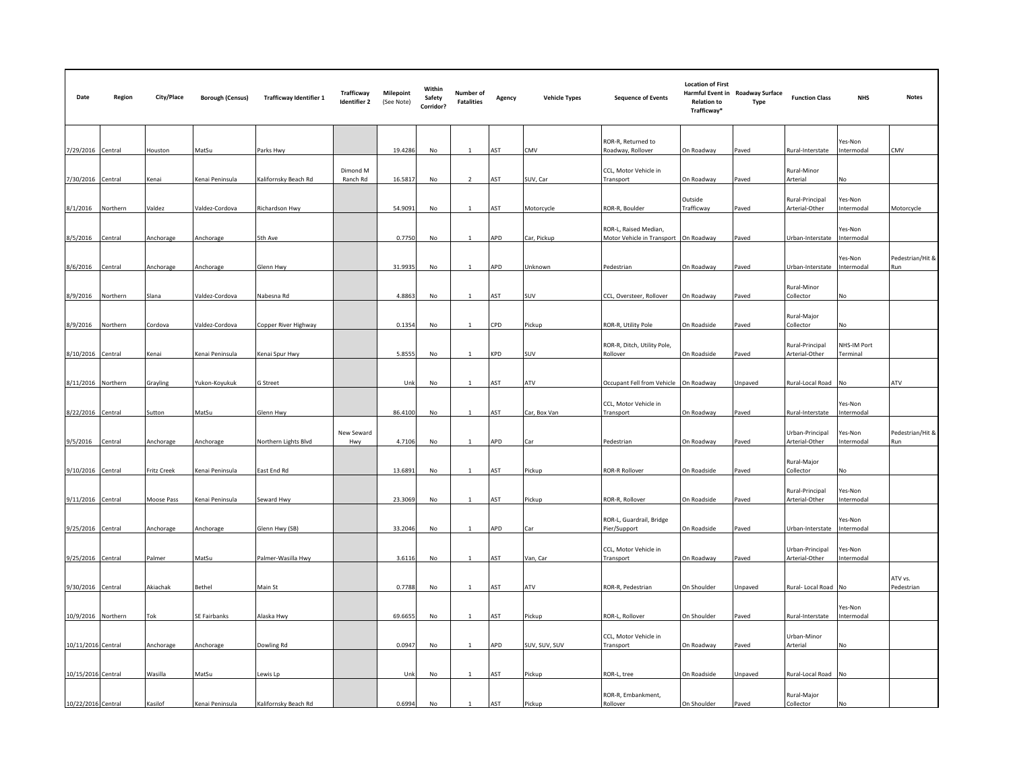| Date               | Region   | City/Place  | <b>Borough (Census)</b> | <b>Trafficway Identifier 1</b> | Trafficway<br><b>Identifier 2</b> | <b>Milepoint</b><br>(See Note) | Within<br>Safety<br>Corridor? | Number of<br><b>Fatalities</b> | Agency | <b>Vehicle Types</b> | <b>Sequence of Events</b>                                      | <b>Location of First</b><br><b>Relation to</b><br>Trafficway* | Harmful Event in Roadway Surface<br>Type | <b>Function Class</b>             | <b>NHS</b>              | <b>Notes</b>            |
|--------------------|----------|-------------|-------------------------|--------------------------------|-----------------------------------|--------------------------------|-------------------------------|--------------------------------|--------|----------------------|----------------------------------------------------------------|---------------------------------------------------------------|------------------------------------------|-----------------------------------|-------------------------|-------------------------|
| 7/29/2016 Central  |          | Houston     | MatSu                   | Parks Hwy                      |                                   | 19.4286                        | No                            | $\mathbf{1}$                   | AST    | CMV                  | ROR-R, Returned to<br>Roadway, Rollover                        | On Roadway                                                    | Paved                                    | Rural-Interstate                  | Yes-Non<br>Intermodal   | CMV                     |
| 7/30/2016 Central  |          | Kenai       | Kenai Peninsula         | Kalifornsky Beach Rd           | Dimond M<br>Ranch Rd              | 16.5817                        | No                            |                                | AST    | SUV, Car             | CCL, Motor Vehicle in<br>Transport                             | On Roadway                                                    | Paved                                    | Rural-Minor<br>Arterial           | No.                     |                         |
| 8/1/2016           | Northern | Valdez      | /aldez-Cordova          | Richardson Hwy                 |                                   | 54.9091                        | No                            | $\mathbf{1}$                   | AST    | Motorcycle           | ROR-R, Boulder                                                 | Outside<br>Trafficway                                         | aved                                     | Rural-Principal<br>Arterial-Other | Yes-Non<br>Intermodal   | Motorcycle              |
| 8/5/2016           | Central  | Anchorage   | Anchorage               | 5th Ave                        |                                   | 0.7750                         | No                            | $\mathbf{1}$                   | APD    | Car, Pickup          | ROR-L, Raised Median,<br>Motor Vehicle in Transport On Roadway |                                                               | Paved                                    | Urban-Interstate                  | Yes-Non<br>Intermodal   |                         |
| 8/6/2016           | Central  | Anchorage   | Anchorage               | Glenn Hwy                      |                                   | 31.9935                        | No                            |                                | APD    | Jnknown              | Pedestrian                                                     | On Roadway                                                    | Paved                                    | Urban-Interstate                  | Yes-Non<br>Intermodal   | Pedestrian/Hit &<br>Run |
| 8/9/2016           | Northern | Slana       | /aldez-Cordova          | Nabesna Rd                     |                                   | 4.8863                         | No                            | $\mathbf{1}$                   | AST    | SUV                  | CCL, Oversteer, Rollover                                       | On Roadway                                                    | Paved                                    | Rural-Minor<br>Collector          | No                      |                         |
| 8/9/2016           | Northern | Cordova     | Valdez-Cordova          | Copper River Highway           |                                   | 0.1354                         | No                            | $\mathbf{1}$                   | CPD    | Pickup               | ROR-R, Utility Pole                                            | On Roadside                                                   | Paved                                    | Rural-Major<br>Collector          | <b>No</b>               |                         |
| 8/10/2016 Central  |          | Kenai       | Kenai Peninsula         | Kenai Spur Hwy                 |                                   | 5.8555                         | No                            |                                | KPD    | SUV                  | ROR-R, Ditch, Utility Pole,<br>Rollover                        | On Roadside                                                   | Paved                                    | Rural-Principal<br>Arterial-Other | NHS-IM Port<br>Terminal |                         |
| 8/11/2016 Northern |          | Grayling    | /ukon-Koyukuk           | G Street                       |                                   | Unk                            | No                            | $\mathbf{1}$                   | AST    | ۹TV                  | Occupant Fell from Vehicle                                     | On Roadway                                                    | Jnpaved                                  | Rural-Local Road                  | <b>No</b>               | ATV                     |
| 8/22/2016 Central  |          | Sutton      | MatSu                   | Glenn Hwy                      |                                   | 86.4100                        | No                            | 1                              | AST    | Car, Box Van         | CCL, Motor Vehicle in<br>Transport                             | On Roadway                                                    | Paved                                    | Rural-Interstate                  | Yes-Non<br>ntermodal    |                         |
| 9/5/2016           | Central  | Anchorage   | Anchorage               | Northern Lights Blvd           | New Seward<br>Hwy                 | 4.7106                         | No                            |                                | APD    |                      | Pedestrian                                                     | On Roadway                                                    | Paved                                    | Urban-Principal<br>Arterial-Other | es-Non<br>Intermodal    | Pedestrian/Hit &<br>Run |
| 9/10/2016 Central  |          | Fritz Creek | Kenai Peninsula         | East End Rd                    |                                   | 13.6891                        | No                            | $\mathbf{1}$                   | AST    | Pickup               | <b>ROR-R Rollover</b>                                          | On Roadside                                                   | Paved                                    | Rural-Major<br>Collector          | No                      |                         |
| 9/11/2016 Central  |          | Moose Pass  | Cenai Peninsula         | Seward Hwy                     |                                   | 23.3069                        | No                            |                                | AST    | Pickup               | ROR-R, Rollover                                                | On Roadside                                                   | Paved                                    | Rural-Principal<br>Arterial-Other | Yes-Non<br>ntermodal    |                         |
| 9/25/2016 Central  |          | Anchorage   | Anchorage               | Glenn Hwy (SB)                 |                                   | 33.2046                        | No                            | $\mathbf{1}$                   | APD    | Car                  | ROR-L, Guardrail, Bridge<br>Pier/Support                       | On Roadside                                                   | Paved                                    | Urban-Interstate                  | Yes-Non<br>Intermodal   |                         |
| 9/25/2016 Central  |          | Palmer      | MatSu                   | Palmer-Wasilla Hwy             |                                   | 3.6116                         | No                            | 1                              | AST    | Van, Car             | CCL, Motor Vehicle in<br>Transport                             | On Roadway                                                    | Paved                                    | Urban-Principal<br>Arterial-Other | Yes-Non<br>Intermodal   |                         |
| 9/30/2016 Central  |          | Akiachak    | Bethel                  | Main St                        |                                   | 0.7788                         | No                            | 1                              | AST    | ۹TV                  | ROR-R, Pedestrian                                              | On Shoulder                                                   | Jnpaved                                  | Rural- Local Road                 | No                      | ATV vs.<br>Pedestrian   |
| 10/9/2016 Northern |          | Tok         | <b>SE Fairbanks</b>     | Alaska Hwy                     |                                   | 69.6655                        | No                            |                                | AST    | Pickup               | ROR-L, Rollover                                                | On Shoulder                                                   | Paved                                    | Rural-Interstate                  | Yes-Non<br>Intermodal   |                         |
| 10/11/2016 Central |          | Anchorage   | Anchorage               | Dowling Rd                     |                                   | 0.0947                         | No                            |                                | APD    | SUV, SUV, SUV        | CCL, Motor Vehicle in<br>Transport                             | On Roadway                                                    | aved                                     | Urban-Minor<br>Arterial           | No                      |                         |
| 10/15/2016 Central |          | Wasilla     | MatSu                   | Lewis Lp                       |                                   | Unk                            | No                            |                                | AST    | Pickup               | ROR-L, tree                                                    | On Roadside                                                   | Jnpaved                                  | Rural-Local Road No               |                         |                         |
| 10/22/2016 Central |          | Kasilof     | Kenai Peninsula         | Kalifornsky Beach Rd           |                                   | 0.6994                         | No                            | $\overline{1}$                 | AST    | Pickup               | ROR-R, Embankment,<br>Rollover                                 | On Shoulder                                                   | Paved                                    | Rural-Major<br>Collector          | No                      |                         |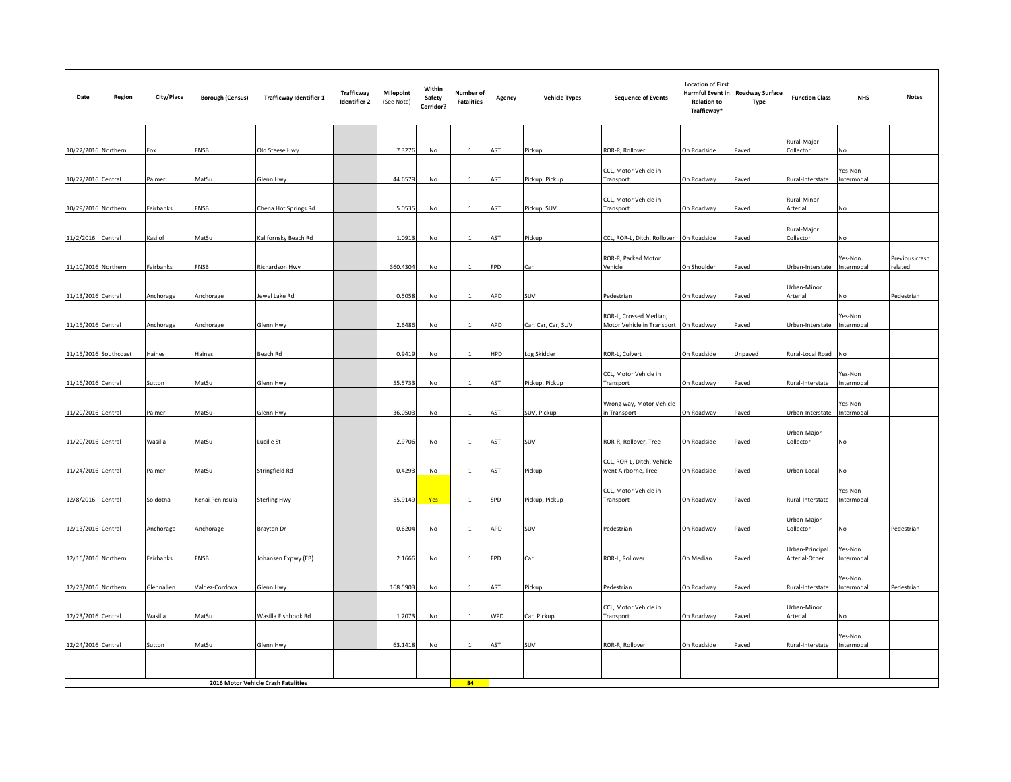| Date                | Region                              | City/Place | <b>Borough (Census)</b> | <b>Trafficway Identifier 1</b> | Trafficway<br><b>Identifier 2</b> | <b>Milepoint</b><br>(See Note) | Within<br>Safety<br>Corridor? | Number of<br><b>Fatalities</b> | Agency | <b>Vehicle Types</b> | <b>Sequence of Events</b>                                       | <b>Location of First</b><br><b>Relation to</b><br>Trafficway* | Harmful Event in Roadway Surface<br><b>Type</b> | <b>Function Class</b>    | <b>NHS</b>            | <b>Notes</b>              |
|---------------------|-------------------------------------|------------|-------------------------|--------------------------------|-----------------------------------|--------------------------------|-------------------------------|--------------------------------|--------|----------------------|-----------------------------------------------------------------|---------------------------------------------------------------|-------------------------------------------------|--------------------------|-----------------------|---------------------------|
| 10/22/2016 Northern |                                     | Fox        | FNSB                    | Old Steese Hwy                 |                                   | 7.3276                         | No                            | $\mathbf{1}$                   | AST    | Pickup               | ROR-R, Rollover                                                 | On Roadside                                                   | Paved                                           | Rural-Major<br>Collector | No                    |                           |
|                     |                                     |            |                         |                                |                                   |                                |                               |                                |        |                      | CCL, Motor Vehicle in                                           |                                                               |                                                 |                          | Yes-Non               |                           |
| 10/27/2016 Central  |                                     | Palmer     | MatSu                   | Glenn Hwy                      |                                   | 44.6579                        | No                            |                                | AST    | Pickup, Pickup       | Transport                                                       | On Roadway                                                    | Paved                                           | Rural-Interstate         | Intermodal            |                           |
| 10/29/2016 Northern |                                     | Fairbanks  | FNSB                    | Chena Hot Springs Rd           |                                   | 5.0535                         | No                            | $\mathbf{1}$                   | AST    | Pickup, SUV          | CCL, Motor Vehicle in<br>Transport                              | On Roadway                                                    | Paved                                           | Rural-Minor<br>Arterial  | No                    |                           |
| 11/2/2016 Central   |                                     | Kasilof    | MatSu                   | Kalifornsky Beach Rd           |                                   | 1.0913                         | No                            | 1                              | AST    | Pickup               | CCL, ROR-L, Ditch, Rollover                                     | On Roadside                                                   | Paved                                           | Rural-Major<br>Collector | No                    |                           |
| 11/10/2016 Northern |                                     | Fairbanks  | FNSB                    | Richardson Hwy                 |                                   | 360.4304                       | No                            | 1                              | FPD    | Car                  | ROR-R, Parked Motor<br>Vehicle                                  | On Shoulder                                                   | Paved                                           | Urban-Interstate         | Yes-Non<br>ntermodal  | Previous crash<br>related |
|                     |                                     |            |                         |                                |                                   |                                |                               |                                |        |                      |                                                                 |                                                               |                                                 |                          |                       |                           |
| 11/13/2016 Central  |                                     | Anchorage  | Anchorage               | Jewel Lake Rd                  |                                   | 0.5058                         | No                            | $\mathbf{1}$                   | APD    | SUV                  | Pedestrian                                                      | On Roadway                                                    | Paved                                           | Urban-Minor<br>Arterial  | No                    | Pedestrian                |
| 11/15/2016 Central  |                                     | Anchorage  | Anchorage               | Glenn Hwy                      |                                   | 2.6486                         | No                            |                                | APD    | Car, Car, Car, SUV   | ROR-L, Crossed Median,<br>Motor Vehicle in Transport On Roadway |                                                               | Paved                                           | Urban-Interstate         | Yes-Non<br>Intermodal |                           |
|                     |                                     |            |                         |                                |                                   |                                |                               |                                |        |                      |                                                                 |                                                               |                                                 |                          |                       |                           |
|                     | 11/15/2016 Southcoast               | Haines     | Haines                  | Beach Rd                       |                                   | 0.9419                         | No                            |                                | HPD    | og Skidder           | ROR-L, Culvert                                                  | On Roadside                                                   | Unpaved                                         | Rural-Local Road No      |                       |                           |
|                     |                                     |            |                         |                                |                                   |                                |                               |                                |        |                      |                                                                 |                                                               |                                                 |                          |                       |                           |
| 11/16/2016 Central  |                                     | Sutton     | MatSu                   | Glenn Hwy                      |                                   | 55.5733                        | No                            | $\mathbf{1}$                   | AST    | Pickup, Pickup       | CCL, Motor Vehicle in<br>Transport                              | On Roadway                                                    | Paved                                           | Rural-Interstate         | Yes-Non<br>Intermodal |                           |
|                     |                                     |            |                         |                                |                                   |                                |                               |                                |        |                      |                                                                 |                                                               |                                                 |                          | Yes-Non               |                           |
| 11/20/2016 Central  |                                     | Palmer     | MatSu                   | Glenn Hwy                      |                                   | 36.0503                        | No                            | <sup>1</sup>                   | AST    | SUV, Pickup          | Wrong way, Motor Vehicle<br>in Transport                        | On Roadway                                                    | Paved                                           | Urban-Interstate         | Intermodal            |                           |
|                     |                                     |            |                         |                                |                                   |                                |                               |                                |        |                      |                                                                 |                                                               |                                                 | Urban-Major              |                       |                           |
| 11/20/2016 Central  |                                     | Wasilla    | MatSu                   | Lucille St                     |                                   | 2.9706                         | No                            | $\mathbf{1}$                   | AST    | <b>SUV</b>           | ROR-R, Rollover, Tree                                           | On Roadside                                                   | Paved                                           | Collector                | No                    |                           |
|                     |                                     |            |                         |                                |                                   |                                |                               |                                |        |                      | CCL, ROR-L, Ditch, Vehicle                                      |                                                               |                                                 |                          |                       |                           |
| 11/24/2016 Central  |                                     | Palmer     | MatSu                   | Stringfield Rd                 |                                   | 0.4293                         | No                            | $\mathbf{1}$                   | AST    | Pickup               | went Airborne, Tree                                             | On Roadside                                                   | Paved                                           | Urban-Local              | No                    |                           |
|                     |                                     |            |                         |                                |                                   |                                |                               |                                |        |                      | CCL, Motor Vehicle in                                           |                                                               |                                                 |                          | Yes-Non               |                           |
| 12/8/2016 Central   |                                     | Soldotna   | Cenai Peninsula         | <b>Sterling Hwy</b>            |                                   | 55.9149                        | Yes                           |                                | SPD    | Pickup, Pickup       | Transport                                                       | On Roadway                                                    | Paved                                           | Rural-Interstate         | Intermodal            |                           |
|                     |                                     |            |                         |                                |                                   |                                |                               |                                |        |                      |                                                                 |                                                               |                                                 | Urban-Major              |                       |                           |
| 12/13/2016 Central  |                                     | Anchorage  | Anchorage               | Brayton Dr                     |                                   | 0.6204                         | No                            | 1                              | APD    | SUV                  | Pedestrian                                                      | On Roadway                                                    | Paved                                           | Collector                | No                    | Pedestrian                |
|                     |                                     |            |                         |                                |                                   |                                |                               | $\mathbf{1}$                   |        |                      |                                                                 |                                                               |                                                 | Urban-Principal          | Yes-Non               |                           |
| 12/16/2016 Northern |                                     | Fairbanks  | FNSB                    | Johansen Expwy (EB)            |                                   | 2.1666                         | No                            |                                | FPD    | Car                  | ROR-L, Rollover                                                 | On Median                                                     | Paved                                           | Arterial-Other           | ntermodal             |                           |
| 12/23/2016 Northern |                                     | Glennallen | Valdez-Cordova          | Glenn Hwy                      |                                   | 168.5903                       | No                            | $\mathbf{1}$                   | AST    | Pickup               | Pedestrian                                                      | On Roadway                                                    | Paved                                           | Rural-Interstate         | Yes-Non<br>Intermodal | Pedestrian                |
|                     |                                     |            |                         |                                |                                   |                                |                               |                                |        |                      |                                                                 |                                                               |                                                 |                          |                       |                           |
| 12/23/2016 Central  |                                     | Wasilla    | MatSu                   | Wasilla Fishhook Rd            |                                   | 1.2073                         | No                            | 1                              | WPD    | Car, Pickup          | CCL, Motor Vehicle in<br>Transport                              | On Roadway                                                    | Paved                                           | Urban-Minor<br>Arterial  | No                    |                           |
|                     |                                     |            |                         |                                |                                   |                                |                               |                                |        |                      |                                                                 |                                                               |                                                 |                          |                       |                           |
| 12/24/2016 Central  |                                     | Sutton     | MatSu                   | Glenn Hwy                      |                                   | 63.1418                        | No                            | $\mathbf{1}$                   | AST    | SUV                  | ROR-R, Rollover                                                 | On Roadside                                                   | Paved                                           | Rural-Interstate         | Yes-Non<br>ntermodal  |                           |
|                     |                                     |            |                         |                                |                                   |                                |                               |                                |        |                      |                                                                 |                                                               |                                                 |                          |                       |                           |
|                     | 2016 Motor Vehicle Crash Fatalities |            |                         |                                |                                   |                                |                               |                                |        |                      |                                                                 |                                                               |                                                 |                          |                       |                           |